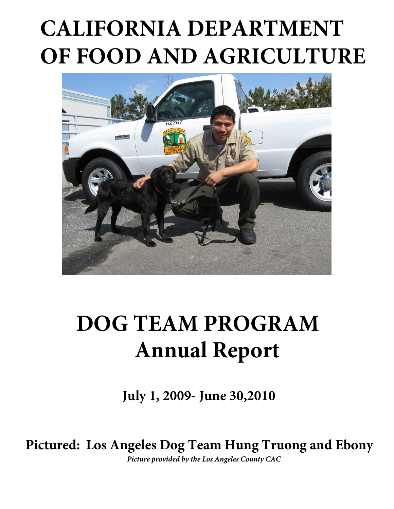# **CALIFORNIA DEPARTMENT OF FOOD AND AGRICULTURE**



## **DOG TEAM PROGRAM Annual Report**

**July 1, 2009- June 30,2010**

**Pictured: Los Angeles Dog Team Hung Truong and Ebony**

*Picture provided by the Los Angeles County CAC*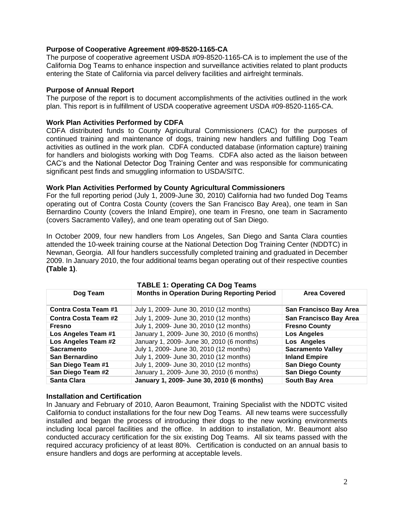## **Purpose of Cooperative Agreement #09-8520-1165-CA**

 The purpose of cooperative agreement USDA #09-8520-1165-CA is to implement the use of the California Dog Teams to enhance inspection and surveillance activities related to plant products entering the State of California via parcel delivery facilities and airfreight terminals.

#### **Purpose of Annual Report**

 The purpose of the report is to document accomplishments of the activities outlined in the work plan. This report is in fulfillment of USDA cooperative agreement USDA #09-8520-1165-CA.

#### **Work Plan Activities Performed by CDFA**

 CDFA distributed funds to County Agricultural Commissioners (CAC) for the purposes of continued training and maintenance of dogs, training new handlers and fulfilling Dog Team activities as outlined in the work plan. CDFA conducted database (information capture) training for handlers and biologists working with Dog Teams. CDFA also acted as the liaison between CAC's and the National Detector Dog Training Center and was responsible for communicating significant pest finds and smuggling information to USDA/SITC.

#### **Work Plan Activities Performed by County Agricultural Commissioners**

 For the full reporting period (July 1, 2009-June 30, 2010) California had two funded Dog Teams operating out of Contra Costa County (covers the San Francisco Bay Area), one team in San Bernardino County (covers the Inland Empire), one team in Fresno, one team in Sacramento (covers Sacramento Valley), and one team operating out of San Diego.

 In October 2009, four new handlers from Los Angeles, San Diego and Santa Clara counties attended the 10-week training course at the National Detection Dog Training Center (NDDTC) in Newnan, Georgia. All four handlers successfully completed training and graduated in December 2009. In January 2010, the four additional teams began operating out of their respective counties **(Table 1)**.

| Dog Team                    | <b>TABLE 1: Operating CA Dog Teams</b><br><b>Months in Operation During Reporting Period</b> | <b>Area Covered</b>      |  |
|-----------------------------|----------------------------------------------------------------------------------------------|--------------------------|--|
|                             |                                                                                              |                          |  |
| <b>Contra Costa Team #1</b> | July 1, 2009- June 30, 2010 (12 months)                                                      | San Francisco Bay Area   |  |
| <b>Contra Costa Team #2</b> | July 1, 2009- June 30, 2010 (12 months)                                                      | San Francisco Bay Area   |  |
| Fresno                      | July 1, 2009- June 30, 2010 (12 months)                                                      | <b>Fresno County</b>     |  |
| Los Angeles Team #1         | January 1, 2009- June 30, 2010 (6 months)                                                    | <b>Los Angeles</b>       |  |
| Los Angeles Team #2         | January 1, 2009- June 30, 2010 (6 months)                                                    | Los Angeles              |  |
| <b>Sacramento</b>           | July 1, 2009- June 30, 2010 (12 months)                                                      | <b>Sacramento Valley</b> |  |
| San Bernardino              | July 1, 2009- June 30, 2010 (12 months)                                                      | <b>Inland Empire</b>     |  |
| San Diego Team #1           | July 1, 2009- June 30, 2010 (12 months)                                                      | <b>San Diego County</b>  |  |
| San Diego Team #2           | January 1, 2009- June 30, 2010 (6 months)                                                    | <b>San Diego County</b>  |  |
| <b>Santa Clara</b>          | January 1, 2009- June 30, 2010 (6 months)                                                    | South Bay Area           |  |

## **Installation and Certification**

 In January and February of 2010, Aaron Beaumont, Training Specialist with the NDDTC visited California to conduct installations for the four new Dog Teams. All new teams were successfully installed and began the process of introducing their dogs to the new working environments including local parcel facilities and the office. In addition to installation, Mr. Beaumont also conducted accuracy certification for the six existing Dog Teams. All six teams passed with the required accuracy proficiency of at least 80%. Certification is conducted on an annual basis to ensure handlers and dogs are performing at acceptable levels.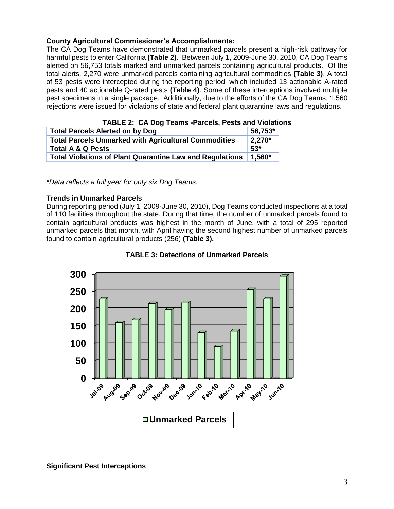## **County Agricultural Commissioner's Accomplishments:**

 The CA Dog Teams have demonstrated that unmarked parcels present a high-risk pathway for harmful pests to enter California **(Table 2)**. Between July 1, 2009-June 30, 2010, CA Dog Teams alerted on 56,753 totals marked and unmarked parcels containing agricultural products. Of the total alerts, 2,270 were unmarked parcels containing agricultural commodities **(Table 3)**. A total of 53 pests were intercepted during the reporting period, which included 13 actionable A-rated pests and 40 actionable Q-rated pests **(Table 4)**. Some of these interceptions involved multiple pest specimens in a single package. Additionally, due to the efforts of the CA Dog Teams, 1,560 rejections were issued for violations of state and federal plant quarantine laws and regulations.

| TABLE 2: CA Dog Teams -Parcels, Pests and Violation             |           |
|-----------------------------------------------------------------|-----------|
| <b>Total Parcels Alerted on by Dog</b>                          | 56,753*   |
| <b>Total Parcels Unmarked with Agricultural Commodities</b>     | $2,270*$  |
| <b>Total A &amp; Q Pests</b>                                    | $53*$     |
| <b>Total Violations of Plant Quarantine Law and Regulations</b> | $ 1.560*$ |
|                                                                 |           |

 **TABLE 2: CA Dog Teams -Parcels, Pests and Violations** 

 *\*Data reflects a full year for only six Dog Teams.* 

### **Trends in Unmarked Parcels**

 During reporting period (July 1, 2009-June 30, 2010), Dog Teams conducted inspections at a total of 110 facilities throughout the state. During that time, the number of unmarked parcels found to contain agricultural products was highest in the month of June, with a total of 295 reported unmarked parcels that month, with April having the second highest number of unmarked parcels found to contain agricultural products (256) **(Table 3).** 



 **TABLE 3: Detections of Unmarked Parcels**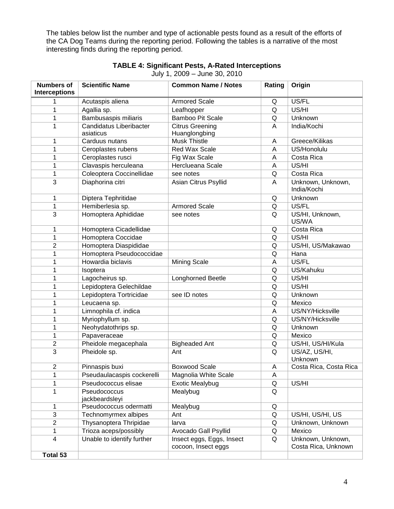The tables below list the number and type of actionable pests found as a result of the efforts of the CA Dog Teams during the reporting period. Following the tables is a narrative of the most interesting finds during the reporting period.

| <b>Numbers of</b><br><b>Interceptions</b> | <b>Scientific Name</b>         | <b>Common Name / Notes</b>                       | Rating | Origin                                   |
|-------------------------------------------|--------------------------------|--------------------------------------------------|--------|------------------------------------------|
|                                           | Acutaspis aliena               | <b>Armored Scale</b>                             | Q      | US/FL                                    |
| 1                                         | Agallia sp.                    | Leafhopper                                       | Q      | US/HI                                    |
| 1                                         | Bambusaspis miliaris           | <b>Bamboo Pit Scale</b>                          | Q      | Unknown                                  |
| 1                                         | Candidatus Liberibacter        | <b>Citrus Greening</b>                           | A      | India/Kochi                              |
|                                           | asiaticus                      | Huanglongbing                                    |        |                                          |
| 1                                         | Carduus nutans                 | <b>Musk Thistle</b>                              | Α      | Greece/Kilikas                           |
| 1                                         | Ceroplastes rubens             | Red Wax Scale                                    | A      | US/Honolulu                              |
| 1                                         | Ceroplastes rusci              | Fig Wax Scale                                    | A      | Costa Rica                               |
| 1                                         | Clavaspis herculeana           | Herclueana Scale                                 | Α      | US/HI                                    |
| 1                                         | Coleoptera Coccinellidae       | see notes                                        | Q      | Costa Rica                               |
| 3                                         | Diaphorina citri               | Asian Citrus Psyllid                             | A      | Unknown, Unknown,<br>India/Kochi         |
| 1                                         | Diptera Tephritidae            |                                                  | Q      | Unknown                                  |
| 1                                         | Hemiberlesia sp.               | <b>Armored Scale</b>                             | Q      | US/FL                                    |
| 3                                         | Homoptera Aphididae            | see notes                                        | Q      | US/HI, Unknown,<br>US/WA                 |
| 1                                         | Homoptera Cicadellidae         |                                                  | Q      | Costa Rica                               |
| 1                                         | Homoptera Coccidae             |                                                  | Q      | US/HI                                    |
| $\overline{2}$                            | Homoptera Diaspididae          |                                                  | Q      | US/HI, US/Makawao                        |
| 1                                         | Homoptera Pseudococcidae       |                                                  | Q      | Hana                                     |
| 1                                         | Howardia biclavis              | <b>Mining Scale</b>                              | A      | US/FL                                    |
| 1                                         | Isoptera                       |                                                  | Q      | US/Kahuku                                |
| 1                                         | Lagocheirus sp.                | Longhorned Beetle                                | Q      | US/HI                                    |
| 1                                         | Lepidoptera Gelechildae        |                                                  | Q      | US/HI                                    |
| 1                                         | Lepidoptera Tortricidae        | see ID notes                                     | Q      | Unknown                                  |
| 1                                         | Leucaena sp.                   |                                                  | Q      | Mexico                                   |
| 1                                         | Limnophila cf. indica          |                                                  | A      | US/NY/Hicksville                         |
| 1                                         | Myriophyllum sp.               |                                                  | Q      | US/NY/Hicksville                         |
| 1                                         | Neohydatothrips sp.            |                                                  | Q      | Unknown                                  |
| 1                                         | Papaveraceae                   |                                                  | Q      | Mexico                                   |
| $\overline{2}$                            | Pheidole megacephala           | <b>Bigheaded Ant</b>                             | Q      | US/HI, US/HI/Kula                        |
| $\overline{3}$                            | Pheidole sp.                   | Ant                                              | Q      | US/AZ, US/HI,<br>Unknown                 |
| $\overline{2}$                            | Pinnaspis buxi                 | <b>Boxwood Scale</b>                             | A      | Costa Rica, Costa Rica                   |
| 1                                         | Pseudaulacaspis cockerelli     | Magnolia White Scale                             | A      |                                          |
| 1                                         | Pseudococcus elisae            | <b>Exotic Mealybug</b>                           | Q      | US/HI                                    |
| 1                                         | Pseudococcus<br>jackbeardsleyi | Mealybug                                         | Q      |                                          |
| 1                                         | Pseudococcus odermatti         | Mealybug                                         | Q      |                                          |
| 3                                         | Technomyrmex albipes           | Ant                                              | Q      | US/HI, US/HI, US                         |
| $\overline{2}$                            | Thysanoptera Thripidae         | larva                                            | Q      | Unknown, Unknown                         |
| 1                                         | Trioza aceps/possibly          | Avocado Gall Psyllid                             | Q      | Mexico                                   |
| $\overline{\mathbf{4}}$                   | Unable to identify further     | Insect eggs, Eggs, Insect<br>cocoon, Insect eggs | Q      | Unknown, Unknown,<br>Costa Rica, Unknown |
| Total 53                                  |                                |                                                  |        |                                          |

### **TABLE 4: Significant Pests, A-Rated Interceptions**  July 1, 2009 – June 30, 2010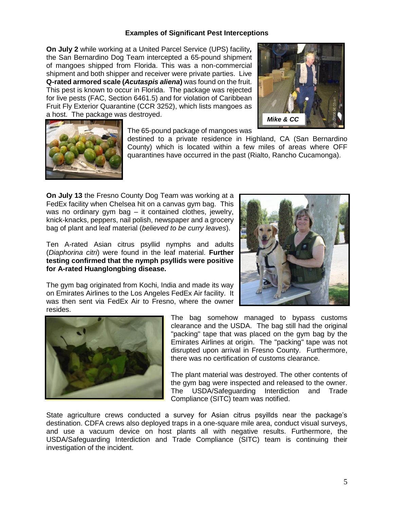### **Examples of Significant Pest Interceptions**

**On July 2** while working at a United Parcel Service (UPS) facility*,*  the San Bernardino Dog Team intercepted a 65-pound shipment of mangoes shipped from Florida. This was a non-commercial shipment and both shipper and receiver were private parties. Live **Q-rated armored scale (***Acutaspis aliena***)** was found on the fruit.  This pest is known to occur in Florida. The package was rejected for live pests (FAC, Section 6461.5) and for violation of Caribbean Fruit Fly Exterior Quarantine (CCR 3252), which lists mangoes as a host. The package was destroyed.





The 65-pound package of mangoes was

destined to a private residence in Highland, CA (San Bernardino County) which is located within a few miles of areas where OFF quarantines have occurred in the past (Rialto, Rancho Cucamonga).

 **On July 13** the Fresno County Dog Team was working at a FedEx facility when Chelsea hit on a canvas gym bag. This was no ordinary gym bag – it contained clothes, jewelry, knick-knacks, peppers, nail polish, newspaper and a grocery bag of plant and leaf material (*believed to be curry leaves*).

 Ten A-rated Asian citrus psyllid nymphs and adults (*Diaphorina citri*) were found in the leaf material. **Further testing confirmed that the nymph psyllids were positive for A-rated Huanglongbing disease.** 



 The gym bag originated from Kochi, India and made its way on Emirates Airlines to the Los Angeles FedEx Air facility. It was then sent via FedEx Air to Fresno, where the owner resides.



 The bag somehow managed to bypass customs clearance and the USDA. The bag still had the original "packing" tape that was placed on the gym bag by the Emirates Airlines at origin. The "packing" tape was not disrupted upon arrival in Fresno County. Furthermore, there was no certification of customs clearance.

 The plant material was destroyed. The other contents of the gym bag were inspected and released to the owner. Interdiction Compliance (SITC) team was notified. The USDA/Safeguarding Interdiction and Trade

 State agriculture crews conducted a survey for Asian citrus psyillds near the package's destination. CDFA crews also deployed traps in a one-square mile area, conduct visual surveys, and use a vacuum device on host plants all with negative results. Furthermore, the USDA/Safeguarding Interdiction and Trade Compliance (SITC) team is continuing their investigation of the incident.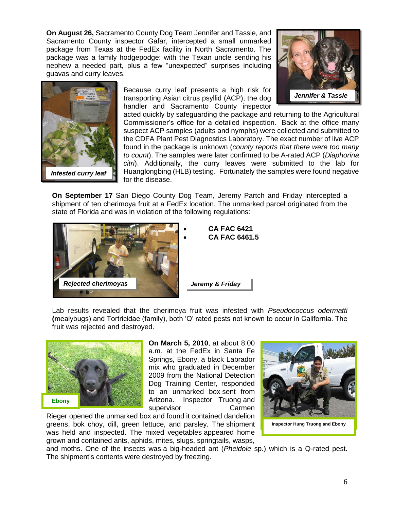**On August 26,** Sacramento County Dog Team Jennifer and Tassie, and Sacramento County inspector Gafar, intercepted a small unmarked package from Texas at the FedEx facility in North Sacramento. The package was a family hodgepodge: with the Texan uncle sending his nephew a needed part, plus a few "unexpected" surprises including guavas and curry leaves.



Because curry leaf presents a high risk for transporting Asian citrus psyllid (ACP), the dog handler and Sacramento County inspector



acted quickly by safeguarding the package and returning to the Agricultural Commissioner's office for a detailed inspection. Back at the office many suspect ACP samples (adults and nymphs) were collected and submitted to the CDFA Plant Pest Diagnostics Laboratory. The exact number of live ACP found in the package is unknown (*county reports that there were too many to count*). The samples were later confirmed to be A-rated ACP (*Diaphorina citri*). Additionally, the curry leaves were submitted to the lab for Huanglongbing (HLB) testing. Fortunately the samples were found negative for the disease.

**On September 17** San Diego County Dog Team, Jeremy Partch and Friday intercepted a shipment of ten cherimoya fruit at a FedEx location. The unmarked parcel originated from the state of Florida and was in violation of the following regulations:



- **CA FAC 6421**
- **CA FAC 6461.5**

Lab results revealed that the cherimoya fruit was infested with *Pseudococcus odermatti*  **(**mealybugs) and Tortricidae (family), both 'Q' rated pests not known to occur in California. The fruit was rejected and destroyed.



 **On March 5, 2010**, at about 8:00 a.m. at the FedEx in Santa Fe mix who graduated in December 2009 from the National Detection Dog Training Center, responded to an unmarked box sent from Springs, Ebony, a black Labrador Arizona. Inspector Truong and supervisor Carmen

 Rieger opened the unmarked box and found it contained dandelion greens, bok choy, dill, green lettuce, and parsley. The shipment was held and inspected. The mixed vegetables appeared home grown and contained ants, aphids, mites, slugs, springtails, wasps,



 and moths. One of the insects was a big-headed ant (*Pheidole* sp.) which is a Q-rated pest. The shipment's contents were destroyed by freezing.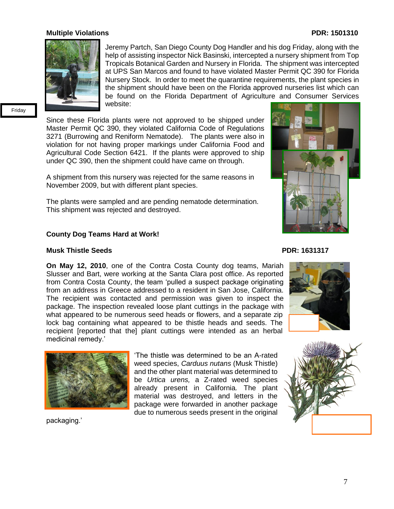#### **Multiple Violations PDR: 1501310**



Jeremy Partch, San Diego County Dog Handler and his dog Friday, along with the help of assisting inspector Nick Basinski, intercepted a nursery shipment from Top Tropicals Botanical Garden and Nursery in Florida. The shipment was intercepted at UPS San Marcos and found to have violated Master Permit QC 390 for Florida Nursery Stock. In order to meet the quarantine requirements, the plant species in the shipment should have been on the Florida approved nurseries list which can be found on the Florida Department of Agriculture and Consumer Services website:

Friday Friday

Since these Florida plants were not approved to be shipped under Master Permit QC 390, they violated California Code of Regulations 3271 (Burrowing and Reniform Nematode). The plants were also in violation for not having proper markings under California Food and Agricultural Code Section 6421. If the plants were approved to ship under QC 390, then the shipment could have came on through.

A shipment from this nursery was rejected for the same reasons in November 2009, but with different plant species.

The plants were sampled and are pending nematode determination.<br>This shipment was rejected and destroyed. This shipment was rejected and destroyed.

#### **County Dog Teams Hard at Work!**

#### **Musk Thistle Seeds PDR: 1631317**

**On May 12, 2010**, one of the Contra Costa County dog teams, Mariah  Slusser and Bart, were working at the Santa Clara post office. As reported from Contra Costa County, the team 'pulled a suspect package originating from an address in Greece addressed to a resident in San Jose, California. The recipient was contacted and permission was given to inspect the package. The inspection revealed loose plant cuttings in the package with what appeared to be numerous seed heads or flowers, and a separate zip lock bag containing what appeared to be thistle heads and seeds. The recipient [reported that the] plant cuttings were intended as an herbal medicinal remedy.'



packaging.'

 'The thistle was determined to be an A-rated and the other plant material was determined to already present in California*.* The plant package were forwarded in another package due to numerous seeds present in the original weed species, *Carduus nutans* (Musk Thistle) be *Urtica urens,* a Z-rated weed species material was destroyed, and letters in the







7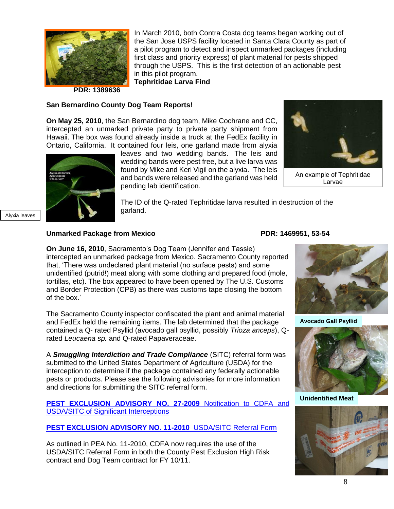

 In March 2010, both Contra Costa dog teams began working out of the San Jose USPS facility located in Santa Clara County as part of a pilot program to detect and inspect unmarked packages (including first class and priority express) of plant material for pests shipped through the USPS. This is the first detection of an actionable pest in this pilot program.

 **Tephritidae Larva Find PDR: 1389636** 

#### **San Bernardino County Dog Team Reports!**

 **On May 25, 2010**, the San Bernardino dog team, Mike Cochrane and CC, intercepted an unmarked private party to private party shipment from Hawaii. The box was found already inside a truck at the FedEx facility in Ontario, California. It contained four leis, one garland made from alyxia



Alyxia leave

Alyxia leaves

 leaves and two wedding bands. The leis and wedding bands were pest free, but a live larva was found by Mike and Keri Vigil on the alyxia. The leis and bands were released and the garland was held pending lab identification.



An example of Tephritidae Larvae

 The ID of the Q-rated Tephritidae larva resulted in destruction of the garland.

#### Unmarked Package from Mexico **PDR: 1469951, 53-54**

 **On June 16, 2010**, Sacramento's Dog Team (Jennifer and Tassie) intercepted an unmarked package from Mexico. Sacramento County reported that, 'There was undeclared plant material (no surface pests) and some unidentified (putrid!) meat along with some clothing and prepared food (mole, tortillas, etc). The box appeared to have been opened by The U.S. Customs and Border Protection (CPB) as there was customs tape closing the bottom of the box.'

 The Sacramento County inspector confiscated the plant and animal material and FedEx held the remaining items. The lab determined that the package contained a Q- rated Psyllid (avocado gall psyllid, possibly *Trioza anceps*), Qrated *Leucaena sp.* and Q-rated Papaveraceae.

 A *Smuggling Interdiction and Trade Compliance* (SITC) referral form was submitted to the United States Department of Agriculture (USDA) for the interception to determine if the package contained any federally actionable pests or products. Please see the following advisories for more information and directions for submitting the SITC referral form.

 **[PEST EXCLUSION ADVISORY NO. 27-2009](http://www.cdfa.ca.gov/countyag/postings/files/PEA_27-2009_Comm.pdf)** Notification to CDFA and USDA/SITC of Significant Interceptions

#### **[PEST EXCLUSION ADVISORY NO. 11-2010](http://www.cdfa.ca.gov/countyag/postings/files/PEA_11-2010_USDA.pdf)** USDA/SITC Referral Form

 As outlined in PEA No. 11-2010, CDFA now requires the use of the USDA/SITC Referral Form in both the County Pest Exclusion High Risk contract and Dog Team contract for FY 10/11.



**Avocado Gall Psyllid** 



**Unidentified Meat**